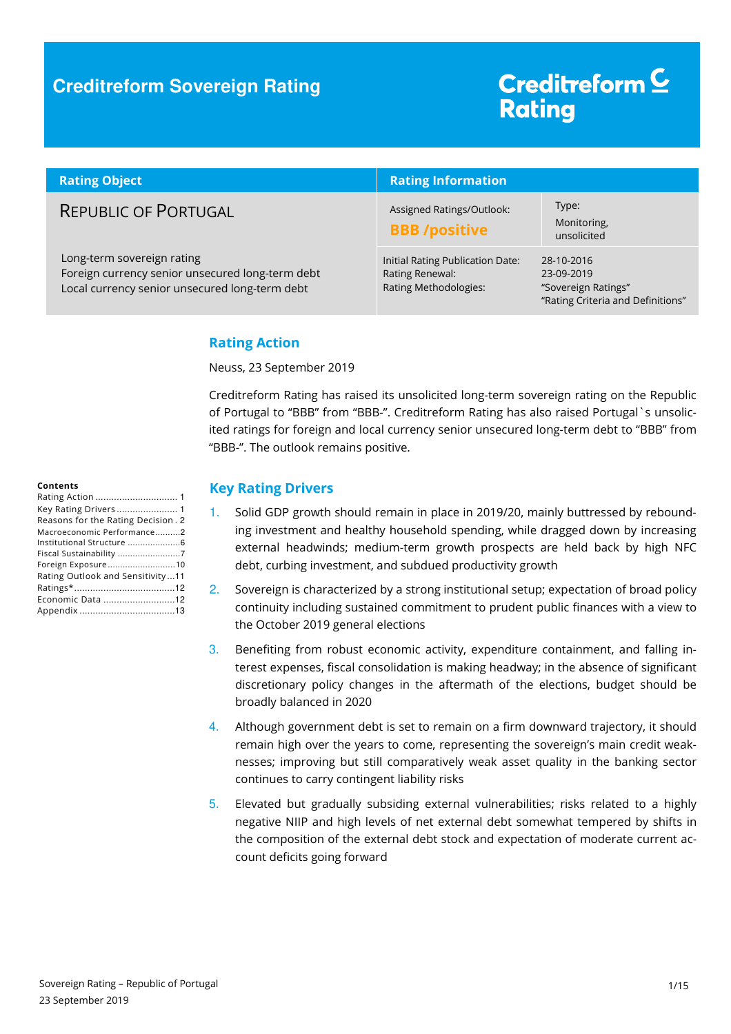### **Creditreform Sovereign Rating**

# Creditreform<sup>C</sup> **Rating**

| <b>Rating Object</b>                                                                                                             | <b>Rating Information</b>                                                    |                                                                                      |
|----------------------------------------------------------------------------------------------------------------------------------|------------------------------------------------------------------------------|--------------------------------------------------------------------------------------|
| <b>REPUBLIC OF PORTUGAL</b>                                                                                                      | Assigned Ratings/Outlook:<br><b>BBB</b> /positive                            | Type:<br>Monitoring,<br>unsolicited                                                  |
| Long-term sovereign rating<br>Foreign currency senior unsecured long-term debt<br>Local currency senior unsecured long-term debt | Initial Rating Publication Date:<br>Rating Renewal:<br>Rating Methodologies: | 28-10-2016<br>23-09-2019<br>"Sovereign Ratings"<br>"Rating Criteria and Definitions" |

### **Rating Action**

Neuss, 23 September 2019

Creditreform Rating has raised its unsolicited long-term sovereign rating on the Republic of Portugal to "BBB" from "BBB-". Creditreform Rating has also raised Portugal`s unsolicited ratings for foreign and local currency senior unsecured long-term debt to "BBB" from "BBB-". The outlook remains positive.

#### **Contents**

| Key Rating Drivers  1              |
|------------------------------------|
| Reasons for the Rating Decision. 2 |
| Macroeconomic Performance2         |
| Institutional Structure 6          |
| Fiscal Sustainability 7            |
| Foreign Exposure10                 |
| Rating Outlook and Sensitivity11   |
|                                    |
| Economic Data 12                   |
|                                    |
|                                    |

#### **Key Rating Drivers**

- 1. Solid GDP growth should remain in place in 2019/20, mainly buttressed by rebounding investment and healthy household spending, while dragged down by increasing external headwinds; medium-term growth prospects are held back by high NFC debt, curbing investment, and subdued productivity growth
- 2. Sovereign is characterized by a strong institutional setup; expectation of broad policy continuity including sustained commitment to prudent public finances with a view to the October 2019 general elections
- 3. Benefiting from robust economic activity, expenditure containment, and falling interest expenses, fiscal consolidation is making headway; in the absence of significant discretionary policy changes in the aftermath of the elections, budget should be broadly balanced in 2020
- 4. Although government debt is set to remain on a firm downward trajectory, it should remain high over the years to come, representing the sovereign's main credit weaknesses; improving but still comparatively weak asset quality in the banking sector continues to carry contingent liability risks
- 5. Elevated but gradually subsiding external vulnerabilities; risks related to a highly negative NIIP and high levels of net external debt somewhat tempered by shifts in the composition of the external debt stock and expectation of moderate current account deficits going forward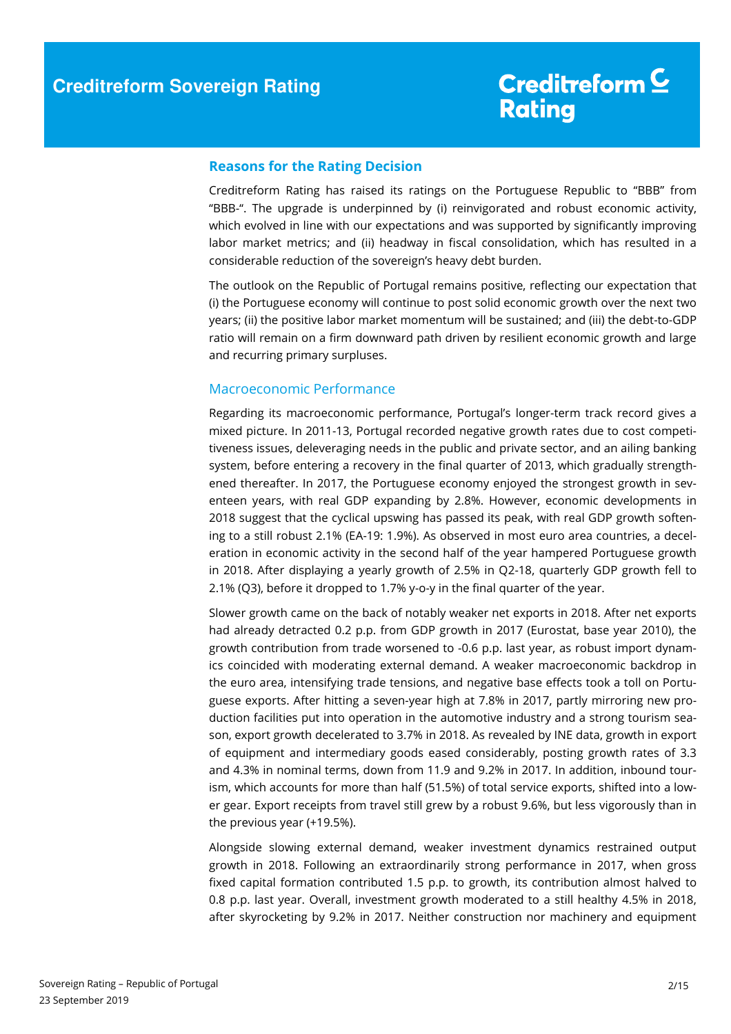#### **Reasons for the Rating Decision**

Creditreform Rating has raised its ratings on the Portuguese Republic to "BBB" from "BBB-". The upgrade is underpinned by (i) reinvigorated and robust economic activity, which evolved in line with our expectations and was supported by significantly improving labor market metrics; and (ii) headway in fiscal consolidation, which has resulted in a considerable reduction of the sovereign's heavy debt burden.

The outlook on the Republic of Portugal remains positive, reflecting our expectation that (i) the Portuguese economy will continue to post solid economic growth over the next two years; (ii) the positive labor market momentum will be sustained; and (iii) the debt-to-GDP ratio will remain on a firm downward path driven by resilient economic growth and large and recurring primary surpluses.

#### Macroeconomic Performance

Regarding its macroeconomic performance, Portugal's longer-term track record gives a mixed picture. In 2011-13, Portugal recorded negative growth rates due to cost competitiveness issues, deleveraging needs in the public and private sector, and an ailing banking system, before entering a recovery in the final quarter of 2013, which gradually strengthened thereafter. In 2017, the Portuguese economy enjoyed the strongest growth in seventeen years, with real GDP expanding by 2.8%. However, economic developments in 2018 suggest that the cyclical upswing has passed its peak, with real GDP growth softening to a still robust 2.1% (EA-19: 1.9%). As observed in most euro area countries, a deceleration in economic activity in the second half of the year hampered Portuguese growth in 2018. After displaying a yearly growth of 2.5% in Q2-18, quarterly GDP growth fell to 2.1% (Q3), before it dropped to 1.7% y-o-y in the final quarter of the year.

Slower growth came on the back of notably weaker net exports in 2018. After net exports had already detracted 0.2 p.p. from GDP growth in 2017 (Eurostat, base year 2010), the growth contribution from trade worsened to -0.6 p.p. last year, as robust import dynamics coincided with moderating external demand. A weaker macroeconomic backdrop in the euro area, intensifying trade tensions, and negative base effects took a toll on Portuguese exports. After hitting a seven-year high at 7.8% in 2017, partly mirroring new production facilities put into operation in the automotive industry and a strong tourism season, export growth decelerated to 3.7% in 2018. As revealed by INE data, growth in export of equipment and intermediary goods eased considerably, posting growth rates of 3.3 and 4.3% in nominal terms, down from 11.9 and 9.2% in 2017. In addition, inbound tourism, which accounts for more than half (51.5%) of total service exports, shifted into a lower gear. Export receipts from travel still grew by a robust 9.6%, but less vigorously than in the previous year (+19.5%).

Alongside slowing external demand, weaker investment dynamics restrained output growth in 2018. Following an extraordinarily strong performance in 2017, when gross fixed capital formation contributed 1.5 p.p. to growth, its contribution almost halved to 0.8 p.p. last year. Overall, investment growth moderated to a still healthy 4.5% in 2018, after skyrocketing by 9.2% in 2017. Neither construction nor machinery and equipment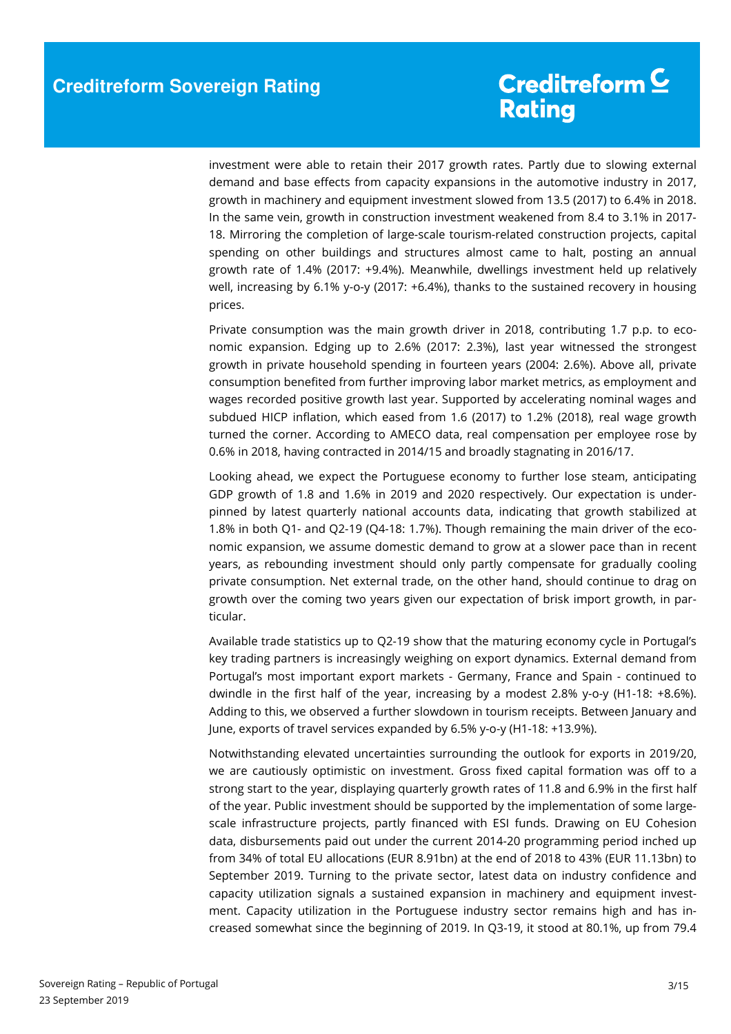investment were able to retain their 2017 growth rates. Partly due to slowing external demand and base effects from capacity expansions in the automotive industry in 2017, growth in machinery and equipment investment slowed from 13.5 (2017) to 6.4% in 2018. In the same vein, growth in construction investment weakened from 8.4 to 3.1% in 2017- 18. Mirroring the completion of large-scale tourism-related construction projects, capital spending on other buildings and structures almost came to halt, posting an annual growth rate of 1.4% (2017: +9.4%). Meanwhile, dwellings investment held up relatively well, increasing by 6.1% y-o-y (2017: +6.4%), thanks to the sustained recovery in housing prices.

Private consumption was the main growth driver in 2018, contributing 1.7 p.p. to economic expansion. Edging up to 2.6% (2017: 2.3%), last year witnessed the strongest growth in private household spending in fourteen years (2004: 2.6%). Above all, private consumption benefited from further improving labor market metrics, as employment and wages recorded positive growth last year. Supported by accelerating nominal wages and subdued HICP inflation, which eased from 1.6 (2017) to 1.2% (2018), real wage growth turned the corner. According to AMECO data, real compensation per employee rose by 0.6% in 2018, having contracted in 2014/15 and broadly stagnating in 2016/17.

Looking ahead, we expect the Portuguese economy to further lose steam, anticipating GDP growth of 1.8 and 1.6% in 2019 and 2020 respectively. Our expectation is underpinned by latest quarterly national accounts data, indicating that growth stabilized at 1.8% in both Q1- and Q2-19 (Q4-18: 1.7%). Though remaining the main driver of the economic expansion, we assume domestic demand to grow at a slower pace than in recent years, as rebounding investment should only partly compensate for gradually cooling private consumption. Net external trade, on the other hand, should continue to drag on growth over the coming two years given our expectation of brisk import growth, in particular.

Available trade statistics up to Q2-19 show that the maturing economy cycle in Portugal's key trading partners is increasingly weighing on export dynamics. External demand from Portugal's most important export markets - Germany, France and Spain - continued to dwindle in the first half of the year, increasing by a modest 2.8% y-o-y (H1-18: +8.6%). Adding to this, we observed a further slowdown in tourism receipts. Between January and June, exports of travel services expanded by 6.5% y-o-y (H1-18: +13.9%).

Notwithstanding elevated uncertainties surrounding the outlook for exports in 2019/20, we are cautiously optimistic on investment. Gross fixed capital formation was off to a strong start to the year, displaying quarterly growth rates of 11.8 and 6.9% in the first half of the year. Public investment should be supported by the implementation of some largescale infrastructure projects, partly financed with ESI funds. Drawing on EU Cohesion data, disbursements paid out under the current 2014-20 programming period inched up from 34% of total EU allocations (EUR 8.91bn) at the end of 2018 to 43% (EUR 11.13bn) to September 2019. Turning to the private sector, latest data on industry confidence and capacity utilization signals a sustained expansion in machinery and equipment investment. Capacity utilization in the Portuguese industry sector remains high and has increased somewhat since the beginning of 2019. In Q3-19, it stood at 80.1%, up from 79.4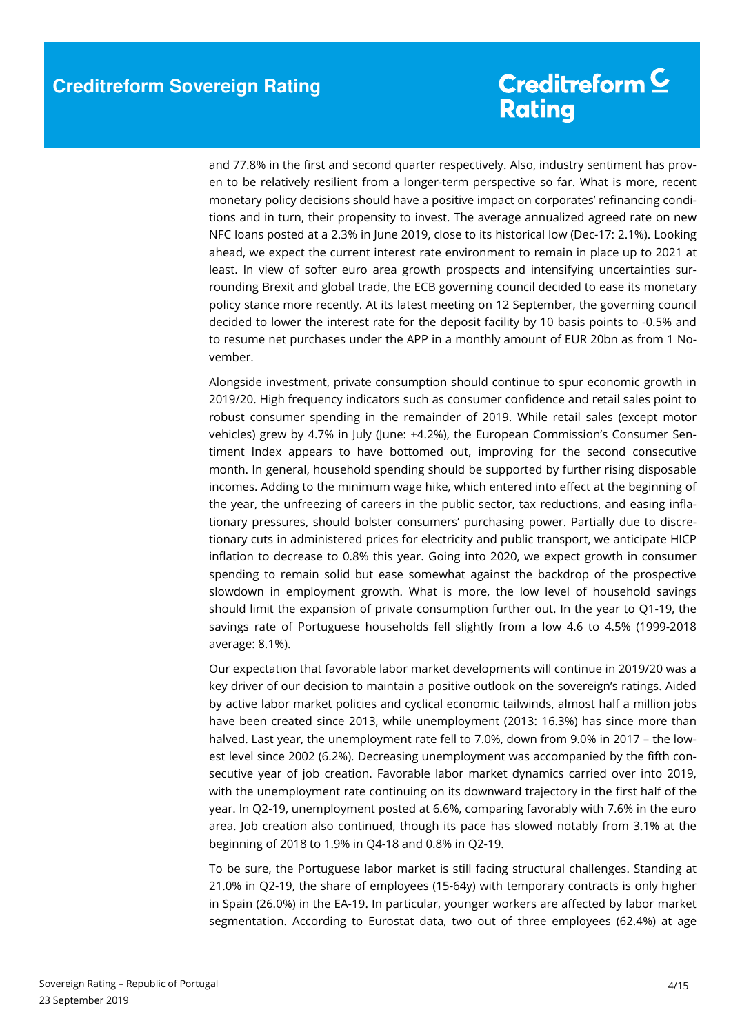and 77.8% in the first and second quarter respectively. Also, industry sentiment has proven to be relatively resilient from a longer-term perspective so far. What is more, recent monetary policy decisions should have a positive impact on corporates' refinancing conditions and in turn, their propensity to invest. The average annualized agreed rate on new NFC loans posted at a 2.3% in June 2019, close to its historical low (Dec-17: 2.1%). Looking ahead, we expect the current interest rate environment to remain in place up to 2021 at least. In view of softer euro area growth prospects and intensifying uncertainties surrounding Brexit and global trade, the ECB governing council decided to ease its monetary policy stance more recently. At its latest meeting on 12 September, the governing council decided to lower the interest rate for the deposit facility by 10 basis points to -0.5% and to resume net purchases under the APP in a monthly amount of EUR 20bn as from 1 November.

Alongside investment, private consumption should continue to spur economic growth in 2019/20. High frequency indicators such as consumer confidence and retail sales point to robust consumer spending in the remainder of 2019. While retail sales (except motor vehicles) grew by 4.7% in July (June: +4.2%), the European Commission's Consumer Sentiment Index appears to have bottomed out, improving for the second consecutive month. In general, household spending should be supported by further rising disposable incomes. Adding to the minimum wage hike, which entered into effect at the beginning of the year, the unfreezing of careers in the public sector, tax reductions, and easing inflationary pressures, should bolster consumers' purchasing power. Partially due to discretionary cuts in administered prices for electricity and public transport, we anticipate HICP inflation to decrease to 0.8% this year. Going into 2020, we expect growth in consumer spending to remain solid but ease somewhat against the backdrop of the prospective slowdown in employment growth. What is more, the low level of household savings should limit the expansion of private consumption further out. In the year to Q1-19, the savings rate of Portuguese households fell slightly from a low 4.6 to 4.5% (1999-2018 average: 8.1%).

Our expectation that favorable labor market developments will continue in 2019/20 was a key driver of our decision to maintain a positive outlook on the sovereign's ratings. Aided by active labor market policies and cyclical economic tailwinds, almost half a million jobs have been created since 2013, while unemployment (2013: 16.3%) has since more than halved. Last year, the unemployment rate fell to 7.0%, down from 9.0% in 2017 – the lowest level since 2002 (6.2%). Decreasing unemployment was accompanied by the fifth consecutive year of job creation. Favorable labor market dynamics carried over into 2019, with the unemployment rate continuing on its downward trajectory in the first half of the year. In Q2-19, unemployment posted at 6.6%, comparing favorably with 7.6% in the euro area. Job creation also continued, though its pace has slowed notably from 3.1% at the beginning of 2018 to 1.9% in Q4-18 and 0.8% in Q2-19.

To be sure, the Portuguese labor market is still facing structural challenges. Standing at 21.0% in Q2-19, the share of employees (15-64y) with temporary contracts is only higher in Spain (26.0%) in the EA-19. In particular, younger workers are affected by labor market segmentation. According to Eurostat data, two out of three employees (62.4%) at age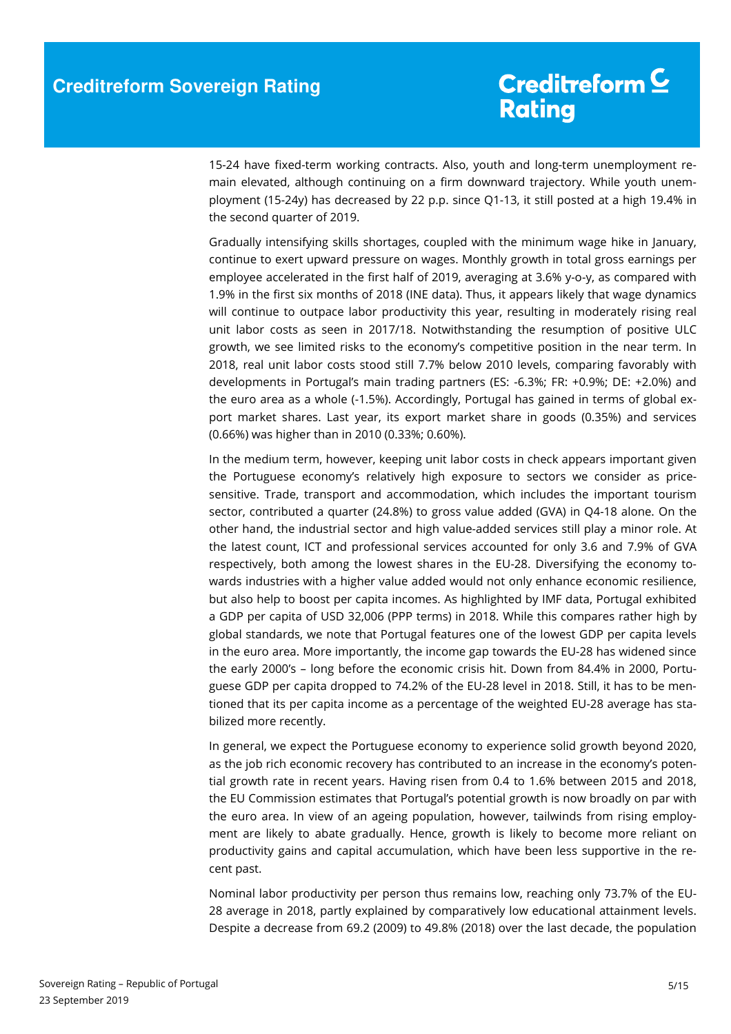15-24 have fixed-term working contracts. Also, youth and long-term unemployment remain elevated, although continuing on a firm downward trajectory. While youth unemployment (15-24y) has decreased by 22 p.p. since Q1-13, it still posted at a high 19.4% in the second quarter of 2019.

Gradually intensifying skills shortages, coupled with the minimum wage hike in January, continue to exert upward pressure on wages. Monthly growth in total gross earnings per employee accelerated in the first half of 2019, averaging at 3.6% y-o-y, as compared with 1.9% in the first six months of 2018 (INE data). Thus, it appears likely that wage dynamics will continue to outpace labor productivity this year, resulting in moderately rising real unit labor costs as seen in 2017/18. Notwithstanding the resumption of positive ULC growth, we see limited risks to the economy's competitive position in the near term. In 2018, real unit labor costs stood still 7.7% below 2010 levels, comparing favorably with developments in Portugal's main trading partners (ES: -6.3%; FR: +0.9%; DE: +2.0%) and the euro area as a whole (-1.5%). Accordingly, Portugal has gained in terms of global export market shares. Last year, its export market share in goods (0.35%) and services (0.66%) was higher than in 2010 (0.33%; 0.60%).

In the medium term, however, keeping unit labor costs in check appears important given the Portuguese economy's relatively high exposure to sectors we consider as pricesensitive. Trade, transport and accommodation, which includes the important tourism sector, contributed a quarter (24.8%) to gross value added (GVA) in Q4-18 alone. On the other hand, the industrial sector and high value-added services still play a minor role. At the latest count, ICT and professional services accounted for only 3.6 and 7.9% of GVA respectively, both among the lowest shares in the EU-28. Diversifying the economy towards industries with a higher value added would not only enhance economic resilience, but also help to boost per capita incomes. As highlighted by IMF data, Portugal exhibited a GDP per capita of USD 32,006 (PPP terms) in 2018. While this compares rather high by global standards, we note that Portugal features one of the lowest GDP per capita levels in the euro area. More importantly, the income gap towards the EU-28 has widened since the early 2000's – long before the economic crisis hit. Down from 84.4% in 2000, Portuguese GDP per capita dropped to 74.2% of the EU-28 level in 2018. Still, it has to be mentioned that its per capita income as a percentage of the weighted EU-28 average has stabilized more recently.

In general, we expect the Portuguese economy to experience solid growth beyond 2020, as the job rich economic recovery has contributed to an increase in the economy's potential growth rate in recent years. Having risen from 0.4 to 1.6% between 2015 and 2018, the EU Commission estimates that Portugal's potential growth is now broadly on par with the euro area. In view of an ageing population, however, tailwinds from rising employment are likely to abate gradually. Hence, growth is likely to become more reliant on productivity gains and capital accumulation, which have been less supportive in the recent past.

Nominal labor productivity per person thus remains low, reaching only 73.7% of the EU-28 average in 2018, partly explained by comparatively low educational attainment levels. Despite a decrease from 69.2 (2009) to 49.8% (2018) over the last decade, the population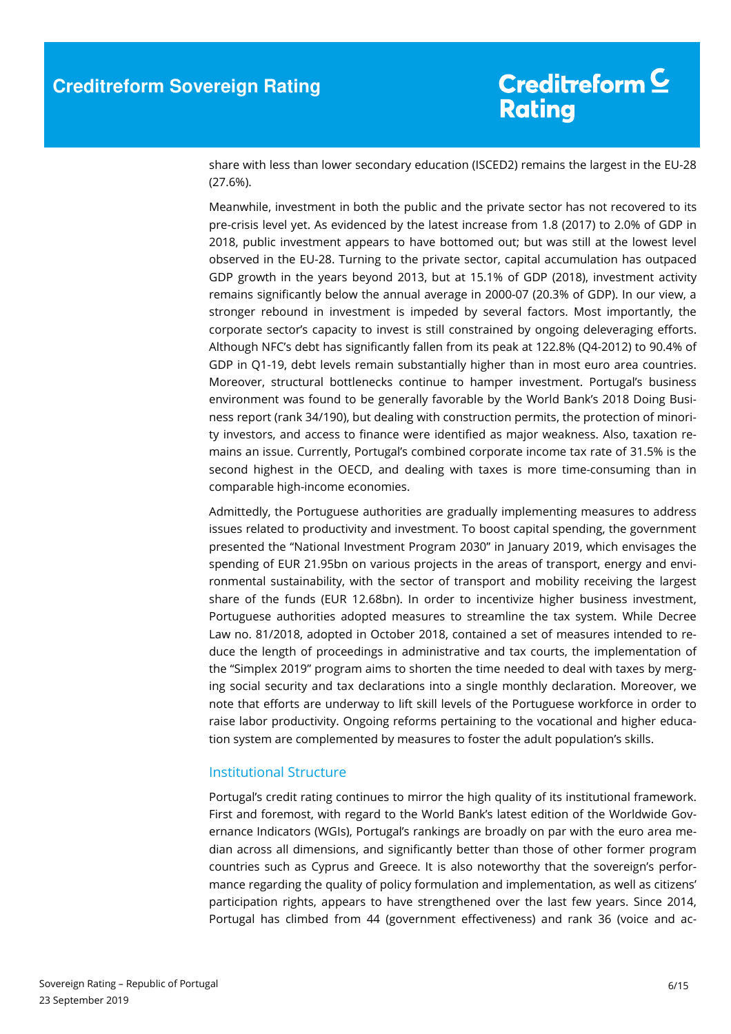share with less than lower secondary education (ISCED2) remains the largest in the EU-28 (27.6%).

Meanwhile, investment in both the public and the private sector has not recovered to its pre-crisis level yet. As evidenced by the latest increase from 1.8 (2017) to 2.0% of GDP in 2018, public investment appears to have bottomed out; but was still at the lowest level observed in the EU-28. Turning to the private sector, capital accumulation has outpaced GDP growth in the years beyond 2013, but at 15.1% of GDP (2018), investment activity remains significantly below the annual average in 2000-07 (20.3% of GDP). In our view, a stronger rebound in investment is impeded by several factors. Most importantly, the corporate sector's capacity to invest is still constrained by ongoing deleveraging efforts. Although NFC's debt has significantly fallen from its peak at 122.8% (Q4-2012) to 90.4% of GDP in Q1-19, debt levels remain substantially higher than in most euro area countries. Moreover, structural bottlenecks continue to hamper investment. Portugal's business environment was found to be generally favorable by the World Bank's 2018 Doing Business report (rank 34/190), but dealing with construction permits, the protection of minority investors, and access to finance were identified as major weakness. Also, taxation remains an issue. Currently, Portugal's combined corporate income tax rate of 31.5% is the second highest in the OECD, and dealing with taxes is more time-consuming than in comparable high-income economies.

Admittedly, the Portuguese authorities are gradually implementing measures to address issues related to productivity and investment. To boost capital spending, the government presented the "National Investment Program 2030" in January 2019, which envisages the spending of EUR 21.95bn on various projects in the areas of transport, energy and environmental sustainability, with the sector of transport and mobility receiving the largest share of the funds (EUR 12.68bn). In order to incentivize higher business investment, Portuguese authorities adopted measures to streamline the tax system. While Decree Law no. 81/2018, adopted in October 2018, contained a set of measures intended to reduce the length of proceedings in administrative and tax courts, the implementation of the "Simplex 2019" program aims to shorten the time needed to deal with taxes by merging social security and tax declarations into a single monthly declaration. Moreover, we note that efforts are underway to lift skill levels of the Portuguese workforce in order to raise labor productivity. Ongoing reforms pertaining to the vocational and higher education system are complemented by measures to foster the adult population's skills.

### Institutional Structure

Portugal's credit rating continues to mirror the high quality of its institutional framework. First and foremost, with regard to the World Bank's latest edition of the Worldwide Governance Indicators (WGIs), Portugal's rankings are broadly on par with the euro area median across all dimensions, and significantly better than those of other former program countries such as Cyprus and Greece. It is also noteworthy that the sovereign's performance regarding the quality of policy formulation and implementation, as well as citizens' participation rights, appears to have strengthened over the last few years. Since 2014, Portugal has climbed from 44 (government effectiveness) and rank 36 (voice and ac-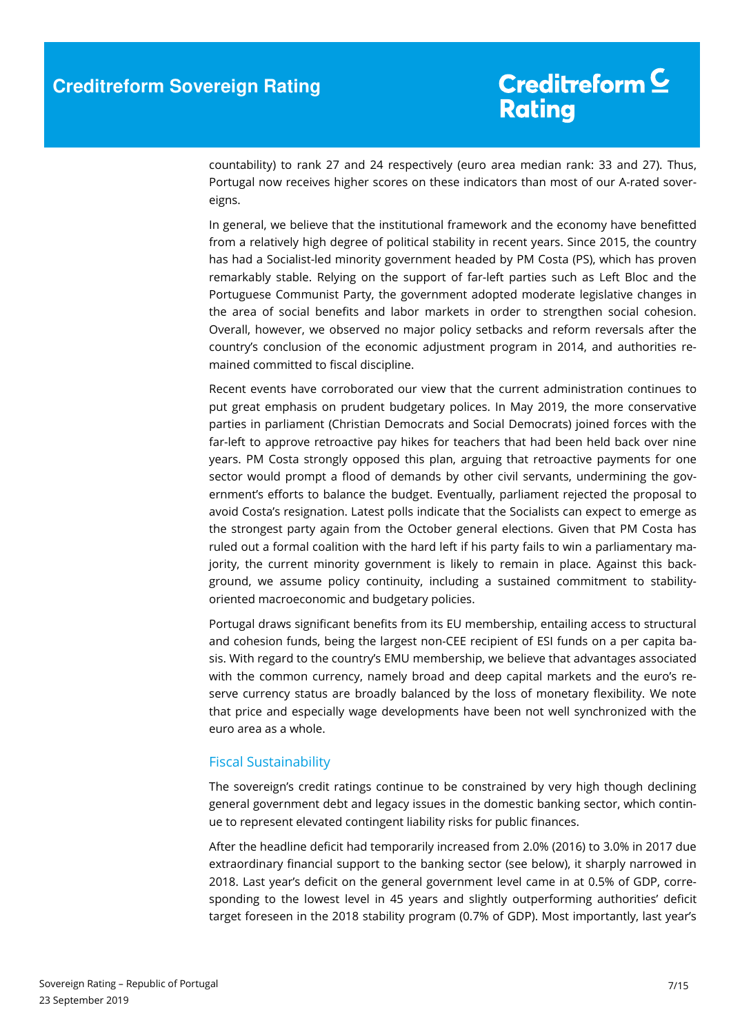countability) to rank 27 and 24 respectively (euro area median rank: 33 and 27). Thus, Portugal now receives higher scores on these indicators than most of our A-rated sovereigns.

In general, we believe that the institutional framework and the economy have benefitted from a relatively high degree of political stability in recent years. Since 2015, the country has had a Socialist-led minority government headed by PM Costa (PS), which has proven remarkably stable. Relying on the support of far-left parties such as Left Bloc and the Portuguese Communist Party, the government adopted moderate legislative changes in the area of social benefits and labor markets in order to strengthen social cohesion. Overall, however, we observed no major policy setbacks and reform reversals after the country's conclusion of the economic adjustment program in 2014, and authorities remained committed to fiscal discipline.

Recent events have corroborated our view that the current administration continues to put great emphasis on prudent budgetary polices. In May 2019, the more conservative parties in parliament (Christian Democrats and Social Democrats) joined forces with the far-left to approve retroactive pay hikes for teachers that had been held back over nine years. PM Costa strongly opposed this plan, arguing that retroactive payments for one sector would prompt a flood of demands by other civil servants, undermining the government's efforts to balance the budget. Eventually, parliament rejected the proposal to avoid Costa's resignation. Latest polls indicate that the Socialists can expect to emerge as the strongest party again from the October general elections. Given that PM Costa has ruled out a formal coalition with the hard left if his party fails to win a parliamentary majority, the current minority government is likely to remain in place. Against this background, we assume policy continuity, including a sustained commitment to stabilityoriented macroeconomic and budgetary policies.

Portugal draws significant benefits from its EU membership, entailing access to structural and cohesion funds, being the largest non-CEE recipient of ESI funds on a per capita basis. With regard to the country's EMU membership, we believe that advantages associated with the common currency, namely broad and deep capital markets and the euro's reserve currency status are broadly balanced by the loss of monetary flexibility. We note that price and especially wage developments have been not well synchronized with the euro area as a whole.

### Fiscal Sustainability

The sovereign's credit ratings continue to be constrained by very high though declining general government debt and legacy issues in the domestic banking sector, which continue to represent elevated contingent liability risks for public finances.

After the headline deficit had temporarily increased from 2.0% (2016) to 3.0% in 2017 due extraordinary financial support to the banking sector (see below), it sharply narrowed in 2018. Last year's deficit on the general government level came in at 0.5% of GDP, corresponding to the lowest level in 45 years and slightly outperforming authorities' deficit target foreseen in the 2018 stability program (0.7% of GDP). Most importantly, last year's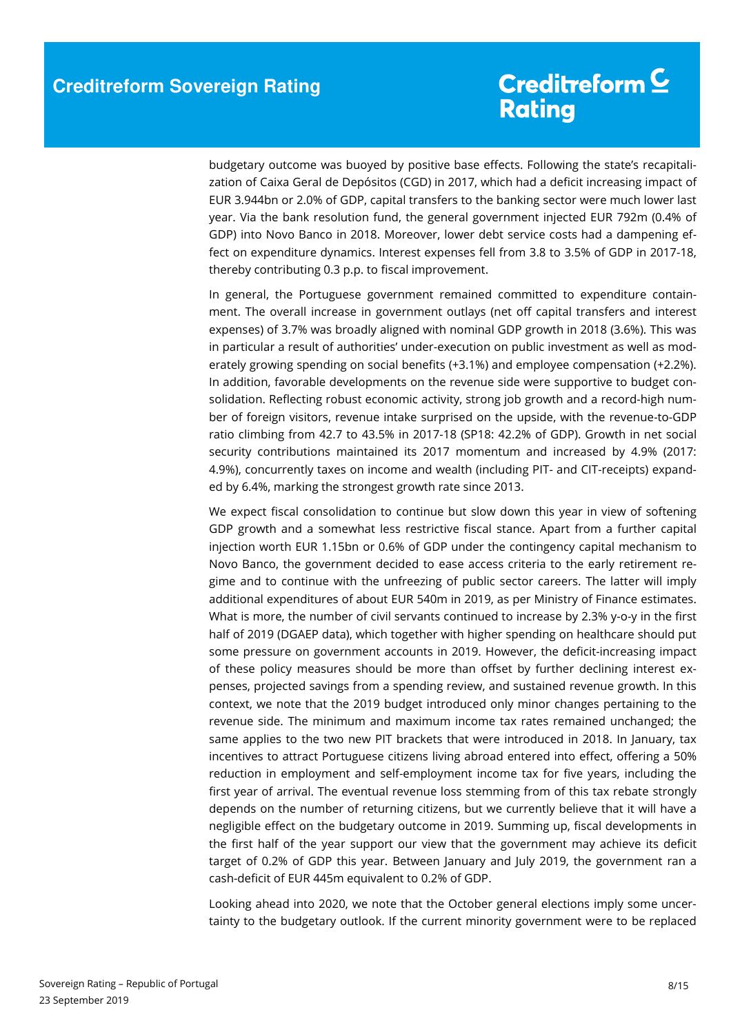budgetary outcome was buoyed by positive base effects. Following the state's recapitalization of Caixa Geral de Depósitos (CGD) in 2017, which had a deficit increasing impact of EUR 3.944bn or 2.0% of GDP, capital transfers to the banking sector were much lower last year. Via the bank resolution fund, the general government injected EUR 792m (0.4% of GDP) into Novo Banco in 2018. Moreover, lower debt service costs had a dampening effect on expenditure dynamics. Interest expenses fell from 3.8 to 3.5% of GDP in 2017-18, thereby contributing 0.3 p.p. to fiscal improvement.

In general, the Portuguese government remained committed to expenditure containment. The overall increase in government outlays (net off capital transfers and interest expenses) of 3.7% was broadly aligned with nominal GDP growth in 2018 (3.6%). This was in particular a result of authorities' under-execution on public investment as well as moderately growing spending on social benefits (+3.1%) and employee compensation (+2.2%). In addition, favorable developments on the revenue side were supportive to budget consolidation. Reflecting robust economic activity, strong job growth and a record-high number of foreign visitors, revenue intake surprised on the upside, with the revenue-to-GDP ratio climbing from 42.7 to 43.5% in 2017-18 (SP18: 42.2% of GDP). Growth in net social security contributions maintained its 2017 momentum and increased by 4.9% (2017: 4.9%), concurrently taxes on income and wealth (including PIT- and CIT-receipts) expanded by 6.4%, marking the strongest growth rate since 2013.

We expect fiscal consolidation to continue but slow down this year in view of softening GDP growth and a somewhat less restrictive fiscal stance. Apart from a further capital injection worth EUR 1.15bn or 0.6% of GDP under the contingency capital mechanism to Novo Banco, the government decided to ease access criteria to the early retirement regime and to continue with the unfreezing of public sector careers. The latter will imply additional expenditures of about EUR 540m in 2019, as per Ministry of Finance estimates. What is more, the number of civil servants continued to increase by 2.3% y-o-y in the first half of 2019 (DGAEP data), which together with higher spending on healthcare should put some pressure on government accounts in 2019. However, the deficit-increasing impact of these policy measures should be more than offset by further declining interest expenses, projected savings from a spending review, and sustained revenue growth. In this context, we note that the 2019 budget introduced only minor changes pertaining to the revenue side. The minimum and maximum income tax rates remained unchanged; the same applies to the two new PIT brackets that were introduced in 2018. In January, tax incentives to attract Portuguese citizens living abroad entered into effect, offering a 50% reduction in employment and self-employment income tax for five years, including the first year of arrival. The eventual revenue loss stemming from of this tax rebate strongly depends on the number of returning citizens, but we currently believe that it will have a negligible effect on the budgetary outcome in 2019. Summing up, fiscal developments in the first half of the year support our view that the government may achieve its deficit target of 0.2% of GDP this year. Between January and July 2019, the government ran a cash-deficit of EUR 445m equivalent to 0.2% of GDP.

Looking ahead into 2020, we note that the October general elections imply some uncertainty to the budgetary outlook. If the current minority government were to be replaced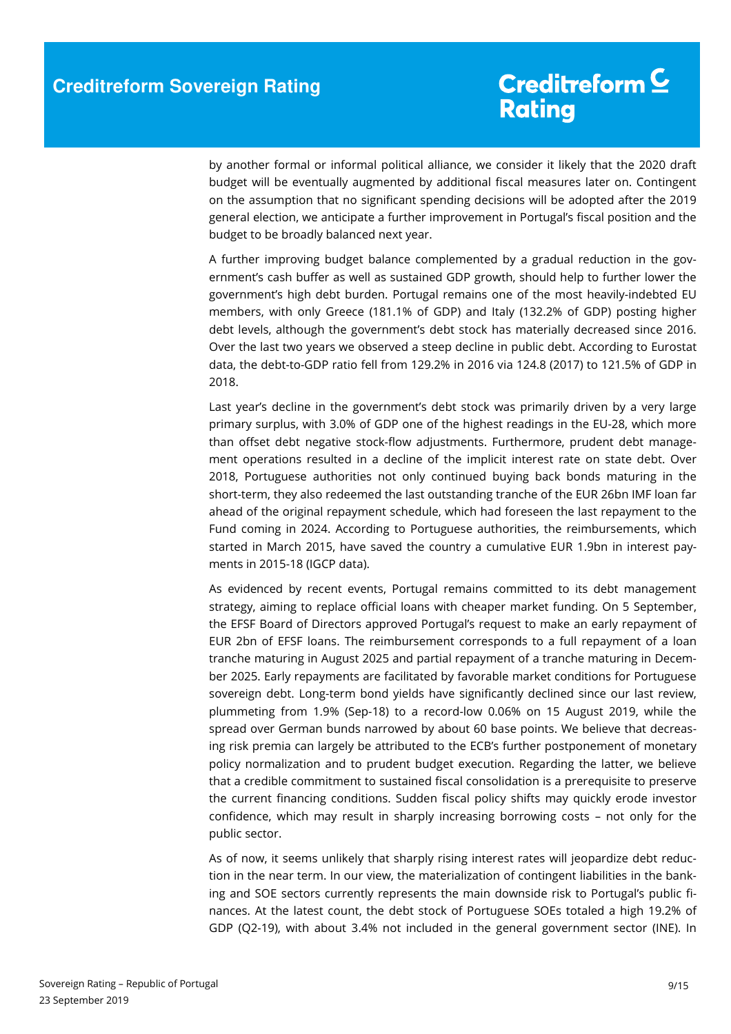by another formal or informal political alliance, we consider it likely that the 2020 draft budget will be eventually augmented by additional fiscal measures later on. Contingent on the assumption that no significant spending decisions will be adopted after the 2019 general election, we anticipate a further improvement in Portugal's fiscal position and the budget to be broadly balanced next year.

A further improving budget balance complemented by a gradual reduction in the government's cash buffer as well as sustained GDP growth, should help to further lower the government's high debt burden. Portugal remains one of the most heavily-indebted EU members, with only Greece (181.1% of GDP) and Italy (132.2% of GDP) posting higher debt levels, although the government's debt stock has materially decreased since 2016. Over the last two years we observed a steep decline in public debt. According to Eurostat data, the debt-to-GDP ratio fell from 129.2% in 2016 via 124.8 (2017) to 121.5% of GDP in 2018.

Last year's decline in the government's debt stock was primarily driven by a very large primary surplus, with 3.0% of GDP one of the highest readings in the EU-28, which more than offset debt negative stock-flow adjustments. Furthermore, prudent debt management operations resulted in a decline of the implicit interest rate on state debt. Over 2018, Portuguese authorities not only continued buying back bonds maturing in the short-term, they also redeemed the last outstanding tranche of the EUR 26bn IMF loan far ahead of the original repayment schedule, which had foreseen the last repayment to the Fund coming in 2024. According to Portuguese authorities, the reimbursements, which started in March 2015, have saved the country a cumulative EUR 1.9bn in interest payments in 2015-18 (IGCP data).

As evidenced by recent events, Portugal remains committed to its debt management strategy, aiming to replace official loans with cheaper market funding. On 5 September, the EFSF Board of Directors approved Portugal's request to make an early repayment of EUR 2bn of EFSF loans. The reimbursement corresponds to a full repayment of a loan tranche maturing in August 2025 and partial repayment of a tranche maturing in December 2025. Early repayments are facilitated by favorable market conditions for Portuguese sovereign debt. Long-term bond yields have significantly declined since our last review, plummeting from 1.9% (Sep-18) to a record-low 0.06% on 15 August 2019, while the spread over German bunds narrowed by about 60 base points. We believe that decreasing risk premia can largely be attributed to the ECB's further postponement of monetary policy normalization and to prudent budget execution. Regarding the latter, we believe that a credible commitment to sustained fiscal consolidation is a prerequisite to preserve the current financing conditions. Sudden fiscal policy shifts may quickly erode investor confidence, which may result in sharply increasing borrowing costs – not only for the public sector.

As of now, it seems unlikely that sharply rising interest rates will jeopardize debt reduction in the near term. In our view, the materialization of contingent liabilities in the banking and SOE sectors currently represents the main downside risk to Portugal's public finances. At the latest count, the debt stock of Portuguese SOEs totaled a high 19.2% of GDP (Q2-19), with about 3.4% not included in the general government sector (INE). In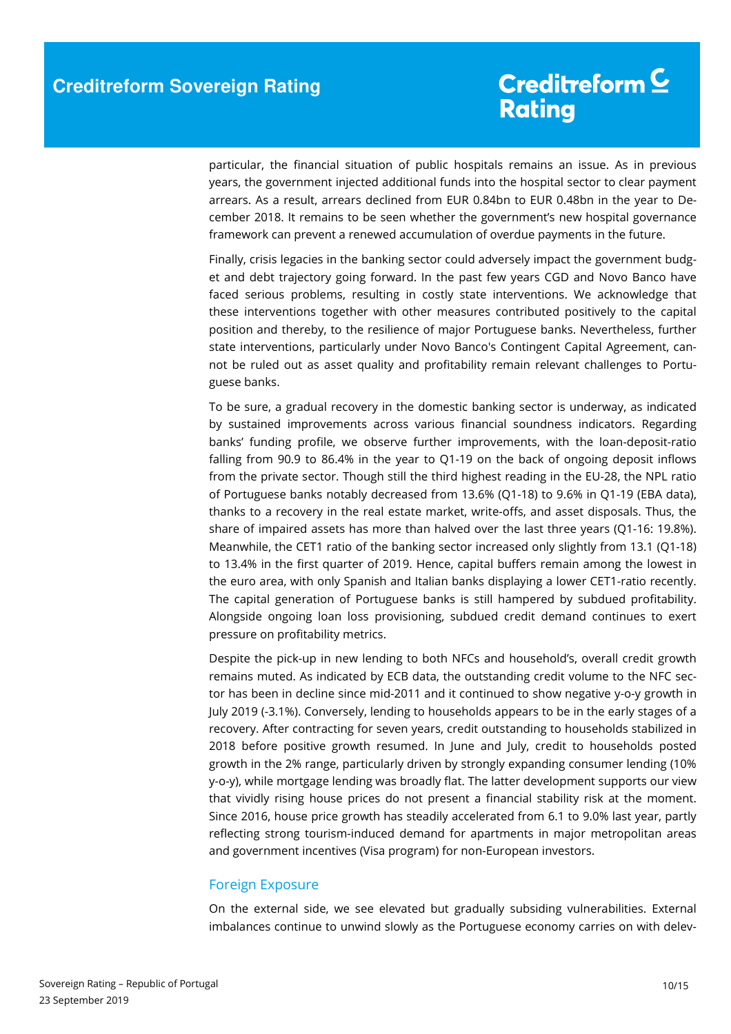particular, the financial situation of public hospitals remains an issue. As in previous years, the government injected additional funds into the hospital sector to clear payment arrears. As a result, arrears declined from EUR 0.84bn to EUR 0.48bn in the year to December 2018. It remains to be seen whether the government's new hospital governance framework can prevent a renewed accumulation of overdue payments in the future.

Finally, crisis legacies in the banking sector could adversely impact the government budget and debt trajectory going forward. In the past few years CGD and Novo Banco have faced serious problems, resulting in costly state interventions. We acknowledge that these interventions together with other measures contributed positively to the capital position and thereby, to the resilience of major Portuguese banks. Nevertheless, further state interventions, particularly under Novo Banco's Contingent Capital Agreement, cannot be ruled out as asset quality and profitability remain relevant challenges to Portuguese banks.

To be sure, a gradual recovery in the domestic banking sector is underway, as indicated by sustained improvements across various financial soundness indicators. Regarding banks' funding profile, we observe further improvements, with the loan-deposit-ratio falling from 90.9 to 86.4% in the year to Q1-19 on the back of ongoing deposit inflows from the private sector. Though still the third highest reading in the EU-28, the NPL ratio of Portuguese banks notably decreased from 13.6% (Q1-18) to 9.6% in Q1-19 (EBA data), thanks to a recovery in the real estate market, write-offs, and asset disposals. Thus, the share of impaired assets has more than halved over the last three years (Q1-16: 19.8%). Meanwhile, the CET1 ratio of the banking sector increased only slightly from 13.1 (Q1-18) to 13.4% in the first quarter of 2019. Hence, capital buffers remain among the lowest in the euro area, with only Spanish and Italian banks displaying a lower CET1-ratio recently. The capital generation of Portuguese banks is still hampered by subdued profitability. Alongside ongoing loan loss provisioning, subdued credit demand continues to exert pressure on profitability metrics.

Despite the pick-up in new lending to both NFCs and household's, overall credit growth remains muted. As indicated by ECB data, the outstanding credit volume to the NFC sector has been in decline since mid-2011 and it continued to show negative y-o-y growth in July 2019 (-3.1%). Conversely, lending to households appears to be in the early stages of a recovery. After contracting for seven years, credit outstanding to households stabilized in 2018 before positive growth resumed. In June and July, credit to households posted growth in the 2% range, particularly driven by strongly expanding consumer lending (10% y-o-y), while mortgage lending was broadly flat. The latter development supports our view that vividly rising house prices do not present a financial stability risk at the moment. Since 2016, house price growth has steadily accelerated from 6.1 to 9.0% last year, partly reflecting strong tourism-induced demand for apartments in major metropolitan areas and government incentives (Visa program) for non-European investors.

### Foreign Exposure

On the external side, we see elevated but gradually subsiding vulnerabilities. External imbalances continue to unwind slowly as the Portuguese economy carries on with delev-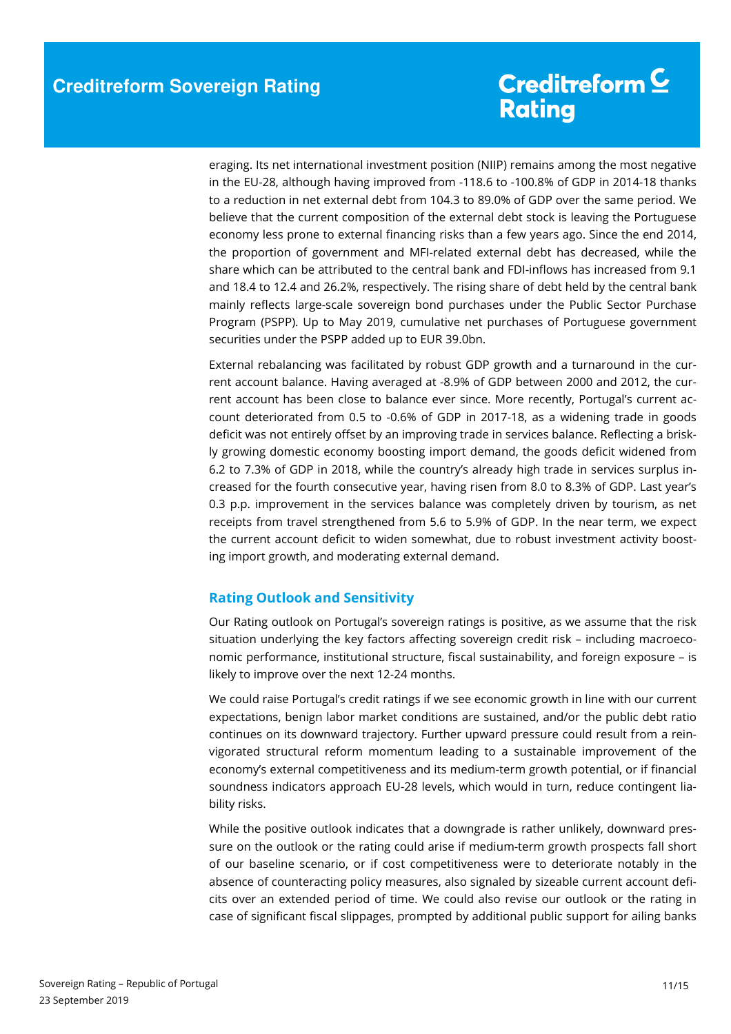eraging. Its net international investment position (NIIP) remains among the most negative in the EU-28, although having improved from -118.6 to -100.8% of GDP in 2014-18 thanks to a reduction in net external debt from 104.3 to 89.0% of GDP over the same period. We believe that the current composition of the external debt stock is leaving the Portuguese economy less prone to external financing risks than a few years ago. Since the end 2014, the proportion of government and MFI-related external debt has decreased, while the share which can be attributed to the central bank and FDI-inflows has increased from 9.1 and 18.4 to 12.4 and 26.2%, respectively. The rising share of debt held by the central bank mainly reflects large-scale sovereign bond purchases under the Public Sector Purchase Program (PSPP). Up to May 2019, cumulative net purchases of Portuguese government securities under the PSPP added up to EUR 39.0bn.

External rebalancing was facilitated by robust GDP growth and a turnaround in the current account balance. Having averaged at -8.9% of GDP between 2000 and 2012, the current account has been close to balance ever since. More recently, Portugal's current account deteriorated from 0.5 to -0.6% of GDP in 2017-18, as a widening trade in goods deficit was not entirely offset by an improving trade in services balance. Reflecting a briskly growing domestic economy boosting import demand, the goods deficit widened from 6.2 to 7.3% of GDP in 2018, while the country's already high trade in services surplus increased for the fourth consecutive year, having risen from 8.0 to 8.3% of GDP. Last year's 0.3 p.p. improvement in the services balance was completely driven by tourism, as net receipts from travel strengthened from 5.6 to 5.9% of GDP. In the near term, we expect the current account deficit to widen somewhat, due to robust investment activity boosting import growth, and moderating external demand.

### **Rating Outlook and Sensitivity**

Our Rating outlook on Portugal's sovereign ratings is positive, as we assume that the risk situation underlying the key factors affecting sovereign credit risk – including macroeconomic performance, institutional structure, fiscal sustainability, and foreign exposure – is likely to improve over the next 12-24 months.

We could raise Portugal's credit ratings if we see economic growth in line with our current expectations, benign labor market conditions are sustained, and/or the public debt ratio continues on its downward trajectory. Further upward pressure could result from a reinvigorated structural reform momentum leading to a sustainable improvement of the economy's external competitiveness and its medium-term growth potential, or if financial soundness indicators approach EU-28 levels, which would in turn, reduce contingent liability risks.

While the positive outlook indicates that a downgrade is rather unlikely, downward pressure on the outlook or the rating could arise if medium-term growth prospects fall short of our baseline scenario, or if cost competitiveness were to deteriorate notably in the absence of counteracting policy measures, also signaled by sizeable current account deficits over an extended period of time. We could also revise our outlook or the rating in case of significant fiscal slippages, prompted by additional public support for ailing banks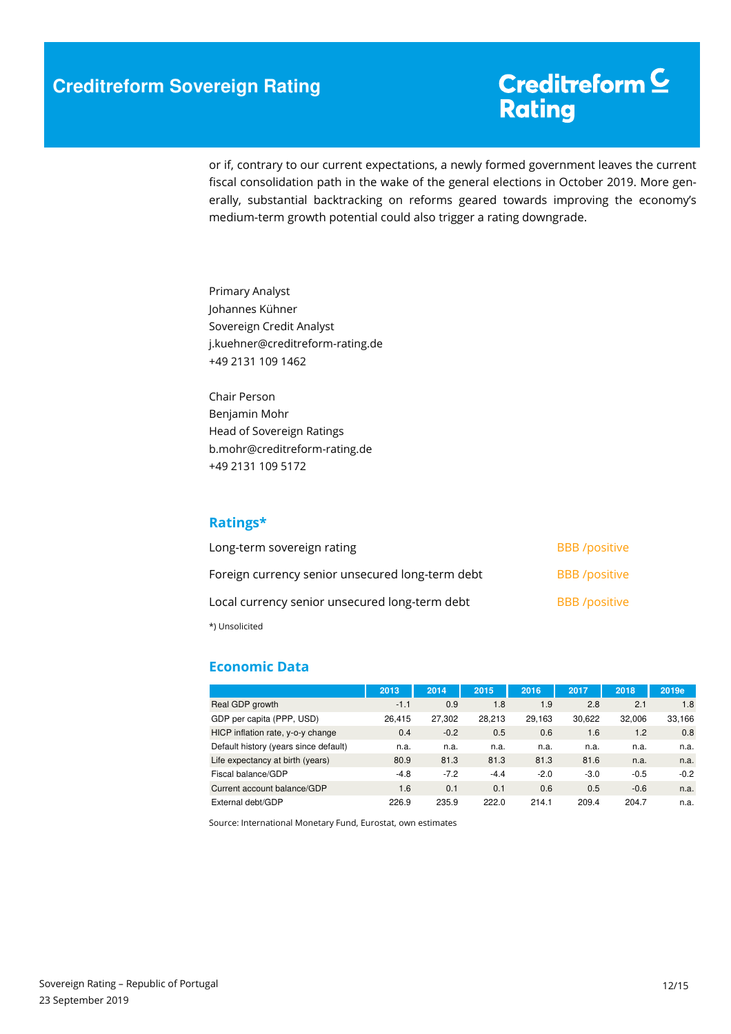### **Creditreform Sovereign Rating**

# Creditreform<sup>C</sup> Rating

or if, contrary to our current expectations, a newly formed government leaves the current fiscal consolidation path in the wake of the general elections in October 2019. More generally, substantial backtracking on reforms geared towards improving the economy's medium-term growth potential could also trigger a rating downgrade.

Primary Analyst Johannes Kühner Sovereign Credit Analyst j.kuehner@creditreform-rating.de +49 2131 109 1462

Chair Person Benjamin Mohr Head of Sovereign Ratings b.mohr@creditreform-rating.de +49 2131 109 5172

### **Ratings\***

| Long-term sovereign rating                       | <b>BBB</b> /positive |
|--------------------------------------------------|----------------------|
| Foreign currency senior unsecured long-term debt | <b>BBB</b> /positive |
| Local currency senior unsecured long-term debt   | <b>BBB</b> /positive |
| *) Unsolicited                                   |                      |

### **Economic Data**

|                                       | 2013   | 2014   | 2015   | 2016   | 2017   | 2018   | 2019e  |
|---------------------------------------|--------|--------|--------|--------|--------|--------|--------|
| Real GDP growth                       | $-1.1$ | 0.9    | 1.8    | 1.9    | 2.8    | 2.1    | 1.8    |
| GDP per capita (PPP, USD)             | 26.415 | 27,302 | 28.213 | 29,163 | 30,622 | 32.006 | 33,166 |
| HICP inflation rate, y-o-y change     | 0.4    | $-0.2$ | 0.5    | 0.6    | 1.6    | 1.2    | 0.8    |
| Default history (years since default) | n.a.   | n.a.   | n.a.   | n.a.   | n.a.   | n.a.   | n.a.   |
| Life expectancy at birth (years)      | 80.9   | 81.3   | 81.3   | 81.3   | 81.6   | n.a.   | n.a.   |
| Fiscal balance/GDP                    | $-4.8$ | $-7.2$ | $-4.4$ | $-2.0$ | $-3.0$ | $-0.5$ | $-0.2$ |
| Current account balance/GDP           | 1.6    | 0.1    | 0.1    | 0.6    | 0.5    | $-0.6$ | n.a.   |
| External debt/GDP                     | 226.9  | 235.9  | 222.0  | 214.1  | 209.4  | 204.7  | n.a.   |

Source: International Monetary Fund, Eurostat, own estimates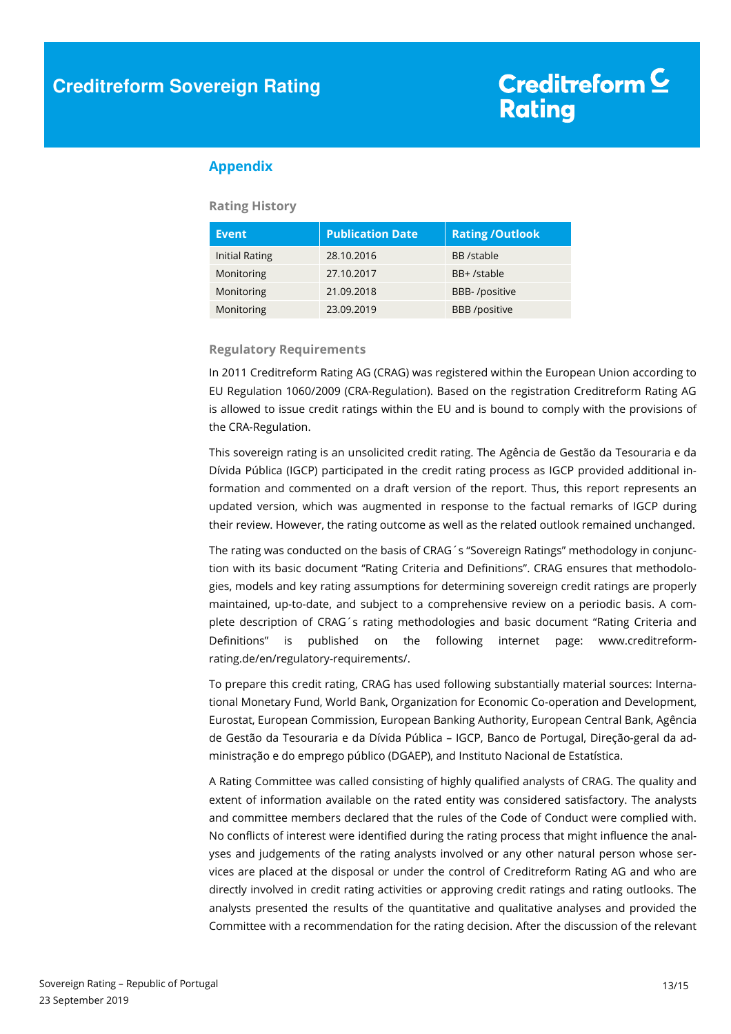### **Appendix**

#### **Rating History**

| <b>Event</b>   | <b>Publication Date</b> | <b>Rating/Outlook</b> |
|----------------|-------------------------|-----------------------|
| Initial Rating | 28.10.2016              | BB /stable            |
| Monitoring     | 27.10.2017              | BB+/stable            |
| Monitoring     | 21.09.2018              | BBB-/positive         |
| Monitoring     | 23.09.2019              | <b>BBB</b> /positive  |

#### **Regulatory Requirements**

In 2011 Creditreform Rating AG (CRAG) was registered within the European Union according to EU Regulation 1060/2009 (CRA-Regulation). Based on the registration Creditreform Rating AG is allowed to issue credit ratings within the EU and is bound to comply with the provisions of the CRA-Regulation.

This sovereign rating is an unsolicited credit rating. The Agência de Gestão da Tesouraria e da Dívida Pública (IGCP) participated in the credit rating process as IGCP provided additional information and commented on a draft version of the report. Thus, this report represents an updated version, which was augmented in response to the factual remarks of IGCP during their review. However, the rating outcome as well as the related outlook remained unchanged.

The rating was conducted on the basis of CRAG´s "Sovereign Ratings" methodology in conjunction with its basic document "Rating Criteria and Definitions". CRAG ensures that methodologies, models and key rating assumptions for determining sovereign credit ratings are properly maintained, up-to-date, and subject to a comprehensive review on a periodic basis. A complete description of CRAG´s rating methodologies and basic document "Rating Criteria and Definitions" is published on the following internet page: www.creditreformrating.de/en/regulatory-requirements/.

To prepare this credit rating, CRAG has used following substantially material sources: International Monetary Fund, World Bank, Organization for Economic Co-operation and Development, Eurostat, European Commission, European Banking Authority, European Central Bank, Agência de Gestão da Tesouraria e da Dívida Pública – IGCP, Banco de Portugal, Direção-geral da administração e do emprego público (DGAEP), and Instituto Nacional de Estatística.

A Rating Committee was called consisting of highly qualified analysts of CRAG. The quality and extent of information available on the rated entity was considered satisfactory. The analysts and committee members declared that the rules of the Code of Conduct were complied with. No conflicts of interest were identified during the rating process that might influence the analyses and judgements of the rating analysts involved or any other natural person whose services are placed at the disposal or under the control of Creditreform Rating AG and who are directly involved in credit rating activities or approving credit ratings and rating outlooks. The analysts presented the results of the quantitative and qualitative analyses and provided the Committee with a recommendation for the rating decision. After the discussion of the relevant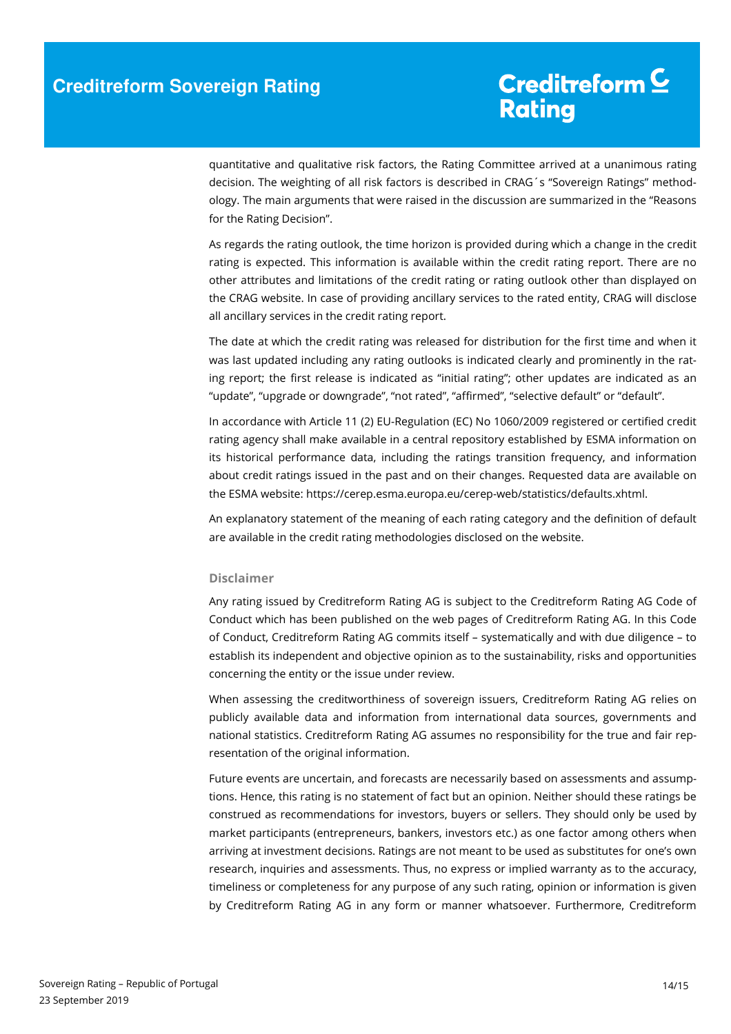quantitative and qualitative risk factors, the Rating Committee arrived at a unanimous rating decision. The weighting of all risk factors is described in CRAG´s "Sovereign Ratings" methodology. The main arguments that were raised in the discussion are summarized in the "Reasons for the Rating Decision".

As regards the rating outlook, the time horizon is provided during which a change in the credit rating is expected. This information is available within the credit rating report. There are no other attributes and limitations of the credit rating or rating outlook other than displayed on the CRAG website. In case of providing ancillary services to the rated entity, CRAG will disclose all ancillary services in the credit rating report.

The date at which the credit rating was released for distribution for the first time and when it was last updated including any rating outlooks is indicated clearly and prominently in the rating report; the first release is indicated as "initial rating"; other updates are indicated as an "update", "upgrade or downgrade", "not rated", "affirmed", "selective default" or "default".

In accordance with Article 11 (2) EU-Regulation (EC) No 1060/2009 registered or certified credit rating agency shall make available in a central repository established by ESMA information on its historical performance data, including the ratings transition frequency, and information about credit ratings issued in the past and on their changes. Requested data are available on the ESMA website: https://cerep.esma.europa.eu/cerep-web/statistics/defaults.xhtml.

An explanatory statement of the meaning of each rating category and the definition of default are available in the credit rating methodologies disclosed on the website.

#### **Disclaimer**

Any rating issued by Creditreform Rating AG is subject to the Creditreform Rating AG Code of Conduct which has been published on the web pages of Creditreform Rating AG. In this Code of Conduct, Creditreform Rating AG commits itself – systematically and with due diligence – to establish its independent and objective opinion as to the sustainability, risks and opportunities concerning the entity or the issue under review.

When assessing the creditworthiness of sovereign issuers, Creditreform Rating AG relies on publicly available data and information from international data sources, governments and national statistics. Creditreform Rating AG assumes no responsibility for the true and fair representation of the original information.

Future events are uncertain, and forecasts are necessarily based on assessments and assumptions. Hence, this rating is no statement of fact but an opinion. Neither should these ratings be construed as recommendations for investors, buyers or sellers. They should only be used by market participants (entrepreneurs, bankers, investors etc.) as one factor among others when arriving at investment decisions. Ratings are not meant to be used as substitutes for one's own research, inquiries and assessments. Thus, no express or implied warranty as to the accuracy, timeliness or completeness for any purpose of any such rating, opinion or information is given by Creditreform Rating AG in any form or manner whatsoever. Furthermore, Creditreform